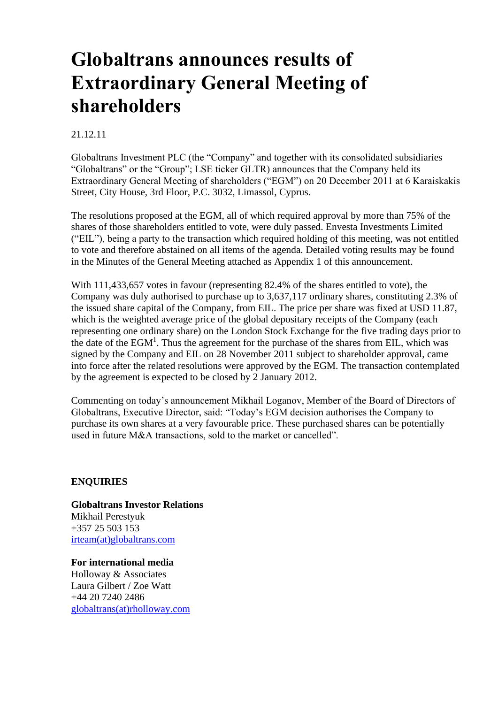# **Globaltrans announces results of Extraordinary General Meeting of shareholders**

## 21.12.11

Globaltrans Investment PLC (the "Company" and together with its consolidated subsidiaries "Globaltrans" or the "Group"; LSE ticker GLTR) announces that the Company held its Extraordinary General Meeting of shareholders ("EGM") on 20 December 2011 at 6 Karaiskakis Street, City House, 3rd Floor, P.C. 3032, Limassol, Cyprus.

The resolutions proposed at the EGM, all of which required approval by more than 75% of the shares of those shareholders entitled to vote, were duly passed. Envesta Investments Limited ("EIL"), being a party to the transaction which required holding of this meeting, was not entitled to vote and therefore abstained on all items of the agenda. Detailed voting results may be found in the Minutes of the General Meeting attached as Appendix 1 of this announcement.

With 111,433,657 votes in favour (representing 82.4% of the shares entitled to vote), the Company was duly authorised to purchase up to 3,637,117 ordinary shares, constituting 2.3% of the issued share capital of the Company, from EIL. The price per share was fixed at USD 11.87, which is the weighted average price of the global depositary receipts of the Company (each representing one ordinary share) on the London Stock Exchange for the five trading days prior to the date of the  $EGM<sup>1</sup>$ . Thus the agreement for the purchase of the shares from EIL, which was signed by the Company and EIL on 28 November 2011 subject to shareholder approval, came into force after the related resolutions were approved by the EGM. The transaction contemplated by the agreement is expected to be closed by 2 January 2012.

Commenting on today's announcement Mikhail Loganov, Member of the Board of Directors of Globaltrans, Executive Director, said: "Today's EGM decision authorises the Company to purchase its own shares at a very favourable price. These purchased shares can be potentially used in future M&A transactions, sold to the market or cancelled".

### **ENQUIRIES**

**Globaltrans Investor Relations** Mikhail Perestyuk +357 25 503 153 [irteam\(at\)globaltrans.com](mailto:irteam@globaltrans.com)

**For international media** Holloway & Associates Laura Gilbert / Zoe Watt +44 20 7240 2486 [globaltrans\(at\)rholloway.com](mailto:globaltrans@rholloway.com)